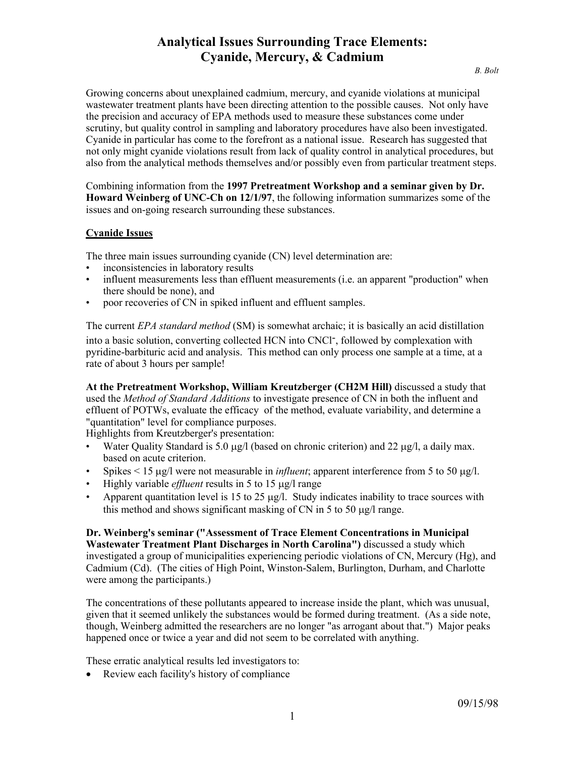Growing concerns about unexplained cadmium, mercury, and cyanide violations at municipal wastewater treatment plants have been directing attention to the possible causes. Not only have the precision and accuracy of EPA methods used to measure these substances come under scrutiny, but quality control in sampling and laboratory procedures have also been investigated. Cyanide in particular has come to the forefront as a national issue. Research has suggested that not only might cyanide violations result from lack of quality control in analytical procedures, but also from the analytical methods themselves and/or possibly even from particular treatment steps.

Combining information from the **1997 Pretreatment Workshop and a seminar given by Dr. Howard Weinberg of UNC-Ch on 12/1/97**, the following information summarizes some of the issues and on-going research surrounding these substances.

## **Cyanide Issues**

The three main issues surrounding cyanide (CN) level determination are:

- inconsistencies in laboratory results
- influent measurements less than effluent measurements (i.e. an apparent "production" when there should be none), and
- poor recoveries of CN in spiked influent and effluent samples.

The current *EPA standard method* (SM) is somewhat archaic; it is basically an acid distillation into a basic solution, converting collected HCN into CNCl-, followed by complexation with pyridine-barbituric acid and analysis. This method can only process one sample at a time, at a rate of about 3 hours per sample!

**At the Pretreatment Workshop, William Kreutzberger (CH2M Hill)** discussed a study that used the *Method of Standard Additions* to investigate presence of CN in both the influent and effluent of POTWs, evaluate the efficacy of the method, evaluate variability, and determine a "quantitation" level for compliance purposes.

Highlights from Kreutzberger's presentation:

- Water Quality Standard is 5.0  $\mu$ g/l (based on chronic criterion) and 22  $\mu$ g/l, a daily max. based on acute criterion.
- Spikes  $\leq 15 \mu g/l$  were not measurable in *influent*; apparent interference from 5 to 50  $\mu g/l$ .
- Highly variable *effluent* results in 5 to 15 µg/l range
- Apparent quantitation level is 15 to 25  $\mu$ g/l. Study indicates inability to trace sources with this method and shows significant masking of CN in 5 to 50  $\mu$ g/l range.

**Dr. Weinberg's seminar ("Assessment of Trace Element Concentrations in Municipal Wastewater Treatment Plant Discharges in North Carolina")** discussed a study which investigated a group of municipalities experiencing periodic violations of CN, Mercury (Hg), and Cadmium (Cd). (The cities of High Point, Winston-Salem, Burlington, Durham, and Charlotte were among the participants.)

The concentrations of these pollutants appeared to increase inside the plant, which was unusual, given that it seemed unlikely the substances would be formed during treatment. (As a side note, though, Weinberg admitted the researchers are no longer "as arrogant about that.") Major peaks happened once or twice a year and did not seem to be correlated with anything.

These erratic analytical results led investigators to:

• Review each facility's history of compliance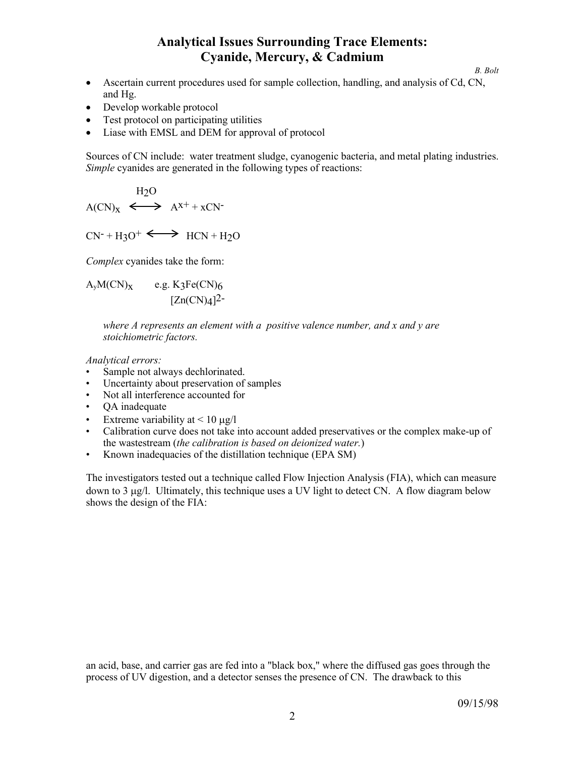*B. Bolt*

- Ascertain current procedures used for sample collection, handling, and analysis of Cd, CN, and Hg.
- Develop workable protocol
- Test protocol on participating utilities
- Liase with EMSL and DEM for approval of protocol

Sources of CN include: water treatment sludge, cyanogenic bacteria, and metal plating industries. *Simple* cyanides are generated in the following types of reactions:

$$
H_2O
$$
  
 
$$
A(CN)_X \iff A^{X^+} + xCN^-
$$

 $CN^- + H_3O^+ \longleftrightarrow HCN + H_2O$ 

*Complex* cyanides take the form:

 $A_yM(CN)_x$  e.g. K3Fe(CN)6  $[Zn(CN)<sub>4</sub>]$ <sup>2-</sup>

> *where A represents an element with a positive valence number, and x and y are stoichiometric factors.*

*Analytical errors:*

- Sample not always dechlorinated.
- Uncertainty about preservation of samples
- Not all interference accounted for
- QA inadequate
- Extreme variability at  $\leq 10 \mu g/l$
- Calibration curve does not take into account added preservatives or the complex make-up of the wastestream (*the calibration is based on deionized water.*)
- Known inadequacies of the distillation technique (EPA SM)

The investigators tested out a technique called Flow Injection Analysis (FIA), which can measure down to 3 µg/l. Ultimately, this technique uses a UV light to detect CN. A flow diagram below shows the design of the FIA:

an acid, base, and carrier gas are fed into a "black box," where the diffused gas goes through the process of UV digestion, and a detector senses the presence of CN. The drawback to this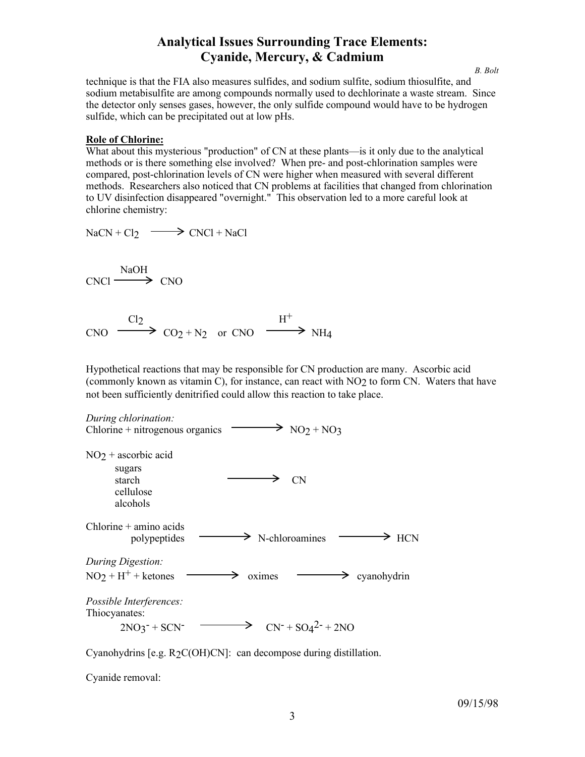*B. Bolt*

technique is that the FIA also measures sulfides, and sodium sulfite, sodium thiosulfite, and sodium metabisulfite are among compounds normally used to dechlorinate a waste stream. Since the detector only senses gases, however, the only sulfide compound would have to be hydrogen sulfide, which can be precipitated out at low pHs.

## **Role of Chlorine:**

What about this mysterious "production" of CN at these plants—is it only due to the analytical methods or is there something else involved? When pre- and post-chlorination samples were compared, post-chlorination levels of CN were higher when measured with several different methods. Researchers also noticed that CN problems at facilities that changed from chlorination to UV disinfection disappeared "overnight." This observation led to a more careful look at chlorine chemistry:

$$
NaCN + Cl_2 \longrightarrow CNCl + NaCl
$$

NaOH  $CNC1 \longrightarrow CNO$ 

 $Cl<sub>2</sub>$  H<sup>+</sup>  $CNO \longrightarrow CO_2 + N_2$  or  $CNO \longrightarrow NH_4$ 

Hypothetical reactions that may be responsible for CN production are many. Ascorbic acid (commonly known as vitamin C), for instance, can react with NO2 to form CN. Waters that have not been sufficiently denitrified could allow this reaction to take place.



Cyanohydrins [e.g. R<sub>2</sub>C(OH)CN]: can decompose during distillation.

Cyanide removal: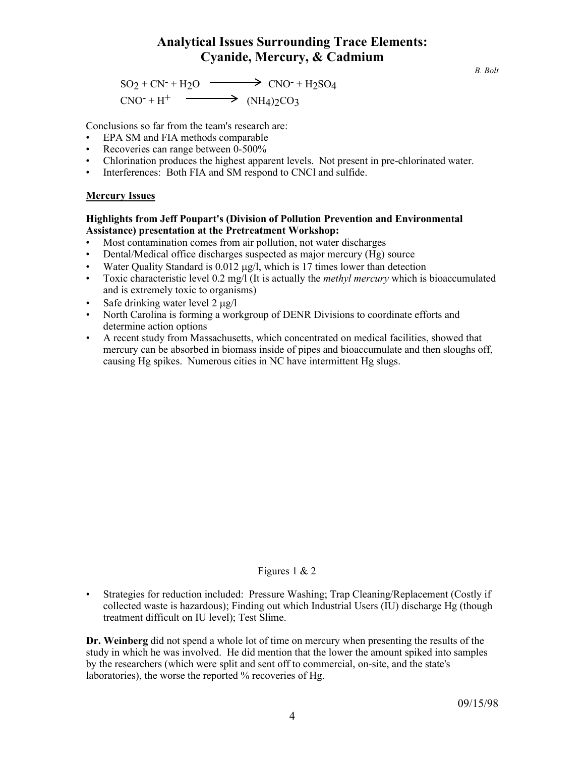$SO_2 + CN^- + H_2O \longrightarrow CONO^- + H_2SO_4$  $CNO^- + H^+$   $\longrightarrow$   $(NH_4)2CO_3$ 

Conclusions so far from the team's research are:

- EPA SM and FIA methods comparable
- Recoveries can range between 0-500%
- Chlorination produces the highest apparent levels. Not present in pre-chlorinated water.
- Interferences: Both FIA and SM respond to CNCl and sulfide.

## **Mercury Issues**

## **Highlights from Jeff Poupart's (Division of Pollution Prevention and Environmental Assistance) presentation at the Pretreatment Workshop:**

- Most contamination comes from air pollution, not water discharges<br>• Dental/Medical office discharges suspected as maior mercury (Hg)
- Dental/Medical office discharges suspected as major mercury (Hg) source
- Water Quality Standard is 0.012 µg/l, which is 17 times lower than detection
- Toxic characteristic level 0.2 mg/l (It is actually the *methyl mercury* which is bioaccumulated and is extremely toxic to organisms)
- Safe drinking water level  $2 \mu g/l$
- North Carolina is forming a workgroup of DENR Divisions to coordinate efforts and determine action options
- A recent study from Massachusetts, which concentrated on medical facilities, showed that mercury can be absorbed in biomass inside of pipes and bioaccumulate and then sloughs off, causing Hg spikes. Numerous cities in NC have intermittent Hg slugs.

## Figures 1 & 2

• Strategies for reduction included: Pressure Washing; Trap Cleaning/Replacement (Costly if collected waste is hazardous); Finding out which Industrial Users (IU) discharge Hg (though treatment difficult on IU level); Test Slime.

**Dr. Weinberg** did not spend a whole lot of time on mercury when presenting the results of the study in which he was involved. He did mention that the lower the amount spiked into samples by the researchers (which were split and sent off to commercial, on-site, and the state's laboratories), the worse the reported % recoveries of Hg.

*B. Bolt*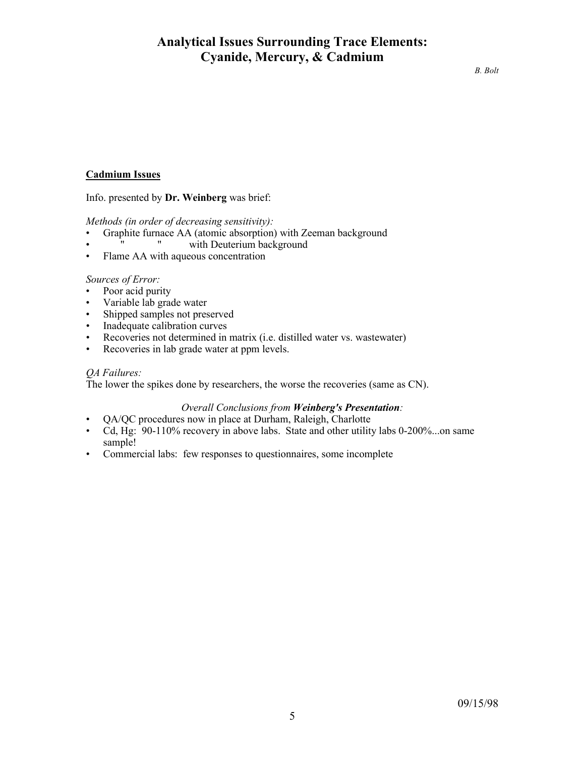# **Cadmium Issues**

Info. presented by **Dr. Weinberg** was brief:

*Methods (in order of decreasing sensitivity):*

- Graphite furnace AA (atomic absorption) with Zeeman background<br>• "With Deuterium background
- with Deuterium background
- Flame AA with aqueous concentration

## *Sources of Error:*

- Poor acid purity
- Variable lab grade water
- Shipped samples not preserved
- Inadequate calibration curves
- Recoveries not determined in matrix (i.e. distilled water vs. wastewater)
- Recoveries in lab grade water at ppm levels.

# *QA Failures:*

The lower the spikes done by researchers, the worse the recoveries (same as CN).

## *Overall Conclusions from Weinberg's Presentation:*

- QA/QC procedures now in place at Durham, Raleigh, Charlotte
- Cd, Hg: 90-110% recovery in above labs. State and other utility labs 0-200%...on same sample!
- Commercial labs: few responses to questionnaires, some incomplete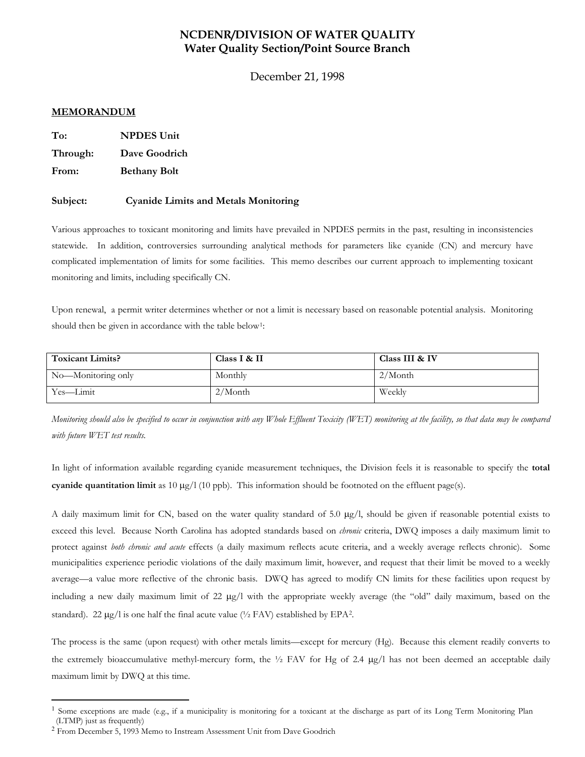## **NCDENR/DIVISION OF WATER QUALITY Water Quality Section/Point Source Branch**

December 21, 1998

### **MEMORANDUM**

**To: NPDES Unit**

**Through: Dave Goodrich**

**From: Bethany Bolt**

### **Subject: Cyanide Limits and Metals Monitoring**

Various approaches to toxicant monitoring and limits have prevailed in NPDES permits in the past, resulting in inconsistencies statewide. In addition, controversies surrounding analytical methods for parameters like cyanide (CN) and mercury have complicated implementation of limits for some facilities. This memo describes our current approach to implementing toxicant monitoring and limits, including specifically CN.

Upon renewal, a permit writer determines whether or not a limit is necessary based on reasonable potential analysis. Monitoring should then be given in accordance with the table below<sup>[1](#page-5-0)</sup>:

| <b>Toxicant Limits?</b> | Class I & II | Class III & IV |
|-------------------------|--------------|----------------|
| No—Monitoring only      | Monthly      | $2/M$ onth     |
| Yes—Limit               | $2/M$ onth   | Weekly         |

*Monitoring should also be specified to occur in conjunction with any Whole Effluent Toxicity (WET) monitoring at the facility, so that data may be compared with future WET test results.*

In light of information available regarding cyanide measurement techniques, the Division feels it is reasonable to specify the **total cyanide quantitation limit** as 10  $\mu$ g/l (10 ppb). This information should be footnoted on the effluent page(s).

A daily maximum limit for CN, based on the water quality standard of 5.0 µg/l, should be given if reasonable potential exists to exceed this level. Because North Carolina has adopted standards based on *chronic* criteria, DWQ imposes a daily maximum limit to protect against *both chronic and acute* effects (a daily maximum reflects acute criteria, and a weekly average reflects chronic). Some municipalities experience periodic violations of the daily maximum limit, however, and request that their limit be moved to a weekly average—a value more reflective of the chronic basis. DWQ has agreed to modify CN limits for these facilities upon request by including a new daily maximum limit of 22 µg/l with the appropriate weekly average (the "old" daily maximum, based on the standard). [2](#page-5-1)2  $\mu$ g/l is one half the final acute value ( $\frac{1}{2}$  FAV) established by EPA<sup>2</sup>.

The process is the same (upon request) with other metals limits—except for mercury (Hg). Because this element readily converts to the extremely bioaccumulative methyl-mercury form, the  $\frac{1}{2}$  FAV for Hg of 2.4  $\mu$ g/l has not been deemed an acceptable daily maximum limit by DWQ at this time.

<span id="page-5-0"></span><sup>&</sup>lt;sup>1</sup> Some exceptions are made (e.g., if a municipality is monitoring for a toxicant at the discharge as part of its Long Term Monitoring Plan (LTMP) just as frequently)

<span id="page-5-1"></span><sup>2</sup> From December 5, 1993 Memo to Instream Assessment Unit from Dave Goodrich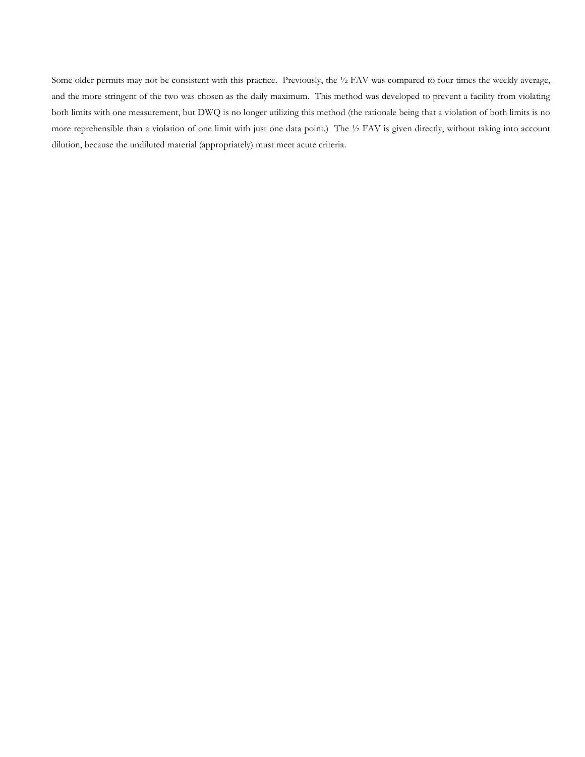Some older permits may not be consistent with this practice. Previously, the ½ FAV was compared to four times the weekly average, and the more stringent of the two was chosen as the daily maximum. This method was developed to prevent a facility from violating both limits with one measurement, but DWQ is no longer utilizing this method (the rationale being that a violation of both limits is no more reprehensible than a violation of one limit with just one data point.) The ½ FAV is given directly, without taking into account dilution, because the undiluted material (appropriately) must meet acute criteria.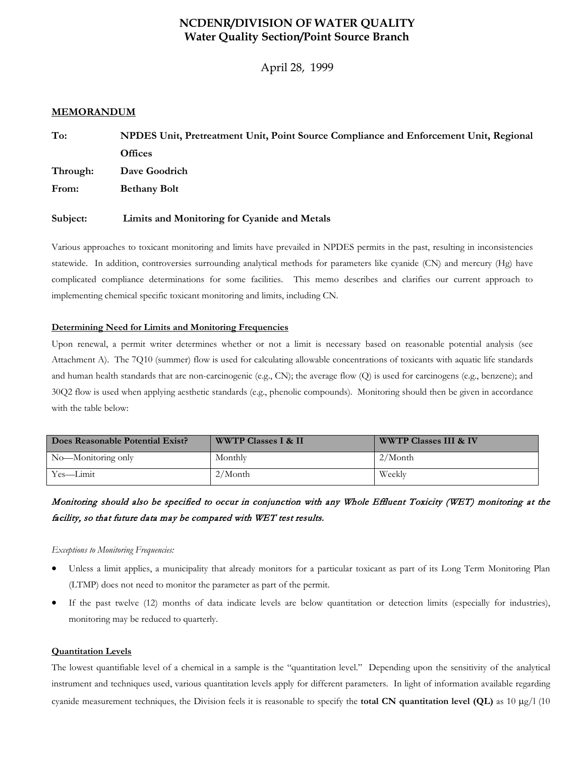## **NCDENR/DIVISION OF WATER QUALITY Water Quality Section/Point Source Branch**

April 28, 1999

### **MEMORANDUM**

| To:      | NPDES Unit, Pretreatment Unit, Point Source Compliance and Enforcement Unit, Regional |
|----------|---------------------------------------------------------------------------------------|
|          | <b>Offices</b>                                                                        |
| Through: | Dave Goodrich                                                                         |
| From:    | <b>Bethany Bolt</b>                                                                   |
| Subject: | Limits and Monitoring for Cyanide and Metals                                          |

Various approaches to toxicant monitoring and limits have prevailed in NPDES permits in the past, resulting in inconsistencies statewide. In addition, controversies surrounding analytical methods for parameters like cyanide (CN) and mercury (Hg) have complicated compliance determinations for some facilities. This memo describes and clarifies our current approach to implementing chemical specific toxicant monitoring and limits, including CN.

### **Determining Need for Limits and Monitoring Frequencies**

Upon renewal, a permit writer determines whether or not a limit is necessary based on reasonable potential analysis (see Attachment A). The 7Q10 (summer) flow is used for calculating allowable concentrations of toxicants with aquatic life standards and human health standards that are non-carcinogenic (e.g., CN); the average flow (Q) is used for carcinogens (e.g., benzene); and 30Q2 flow is used when applying aesthetic standards (e.g., phenolic compounds). Monitoring should then be given in accordance with the table below:

| Does Reasonable Potential Exist? | <b>WWTP Classes I &amp; II</b> | <b>WWTP Classes III &amp; IV</b> |
|----------------------------------|--------------------------------|----------------------------------|
| No—Monitoring only               | Monthly                        | 2/Month                          |
| Yes—Limit                        | $2/M$ onth                     | Weekly                           |

# Monitoring should also be specified to occur in conjunction with any Whole Effluent Toxicity (WET) monitoring at the facility, so that future data may be compared with WET test results.

*Exceptions to Monitoring Frequencies:* 

- Unless a limit applies, a municipality that already monitors for a particular toxicant as part of its Long Term Monitoring Plan (LTMP) does not need to monitor the parameter as part of the permit.
- If the past twelve (12) months of data indicate levels are below quantitation or detection limits (especially for industries), monitoring may be reduced to quarterly.

### **Quantitation Levels**

The lowest quantifiable level of a chemical in a sample is the "quantitation level." Depending upon the sensitivity of the analytical instrument and techniques used, various quantitation levels apply for different parameters. In light of information available regarding cyanide measurement techniques, the Division feels it is reasonable to specify the **total CN quantitation level (QL)** as 10 µg/l (10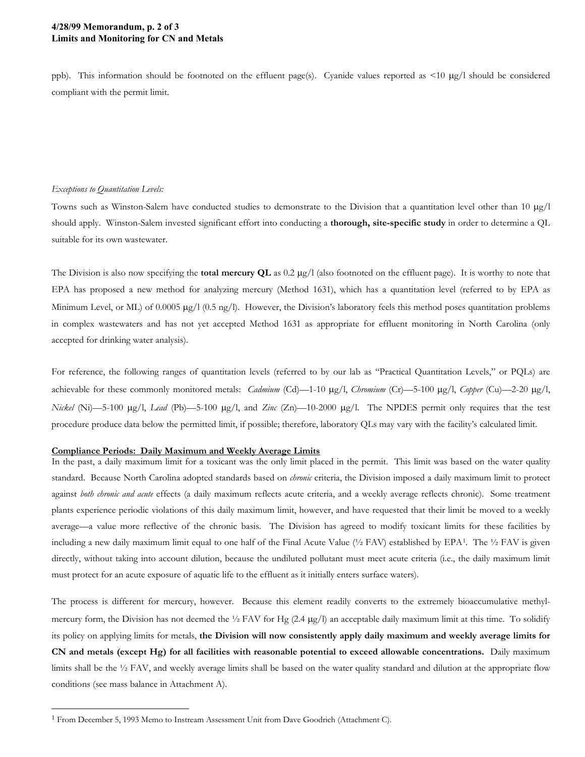### **4/28/99 Memorandum, p. 2 of 3 Limits and Monitoring for CN and Metals**

ppb). This information should be footnoted on the effluent page(s). Cyanide values reported as <10 µg/l should be considered compliant with the permit limit.

#### *Exceptions to Quantitation Levels:*

Towns such as Winston-Salem have conducted studies to demonstrate to the Division that a quantitation level other than 10  $\mu$ g/l should apply. Winston-Salem invested significant effort into conducting a **thorough, site-specific study** in order to determine a QL suitable for its own wastewater.

The Division is also now specifying the **total mercury QL** as 0.2 µg/l (also footnoted on the effluent page). It is worthy to note that EPA has proposed a new method for analyzing mercury (Method 1631), which has a quantitation level (referred to by EPA as Minimum Level, or ML) of 0.0005  $\mu$ g/l (0.5 ng/l). However, the Division's laboratory feels this method poses quantitation problems in complex wastewaters and has not yet accepted Method 1631 as appropriate for effluent monitoring in North Carolina (only accepted for drinking water analysis).

For reference, the following ranges of quantitation levels (referred to by our lab as "Practical Quantitation Levels," or PQLs) are achievable for these commonly monitored metals: *Cadmium* (Cd)—1-10 µg/l, *Chromium* (Cr)—5-100 µg/l, *Copper* (Cu)—2-20 µg/l, *Nickel* (Ni)—5-100 µg/l, *Lead* (Pb)—5-100 µg/l, and *Zinc* (Zn)—10-2000 µg/l. The NPDES permit only requires that the test procedure produce data below the permitted limit, if possible; therefore, laboratory QLs may vary with the facility's calculated limit.

#### **Compliance Periods: Daily Maximum and Weekly Average Limits**

In the past, a daily maximum limit for a toxicant was the only limit placed in the permit. This limit was based on the water quality standard. Because North Carolina adopted standards based on *chronic* criteria, the Division imposed a daily maximum limit to protect against *both chronic and acute* effects (a daily maximum reflects acute criteria, and a weekly average reflects chronic). Some treatment plants experience periodic violations of this daily maximum limit, however, and have requested that their limit be moved to a weekly average—a value more reflective of the chronic basis. The Division has agreed to modify toxicant limits for these facilities by including a new daily maximum limit equal to one half of the Final Acute Value ( $\frac{1}{2}$  $\frac{1}{2}$  $\frac{1}{2}$  FAV) established by EPA<sup>1</sup>. The  $\frac{1}{2}$  FAV is given directly, without taking into account dilution, because the undiluted pollutant must meet acute criteria (i.e., the daily maximum limit must protect for an acute exposure of aquatic life to the effluent as it initially enters surface waters).

The process is different for mercury, however. Because this element readily converts to the extremely bioaccumulative methylmercury form, the Division has not deemed the 1/2 FAV for Hg (2.4 µg/l) an acceptable daily maximum limit at this time. To solidify its policy on applying limits for metals, **the Division will now consistently apply daily maximum and weekly average limits for CN and metals (except Hg) for all facilities with reasonable potential to exceed allowable concentrations.** Daily maximum limits shall be the <sup>1</sup>/<sub>2</sub> FAV, and weekly average limits shall be based on the water quality standard and dilution at the appropriate flow conditions (see mass balance in Attachment A).

<span id="page-8-0"></span><sup>&</sup>lt;sup>1</sup> From December 5, 1993 Memo to Instream Assessment Unit from Dave Goodrich (Attachment C).